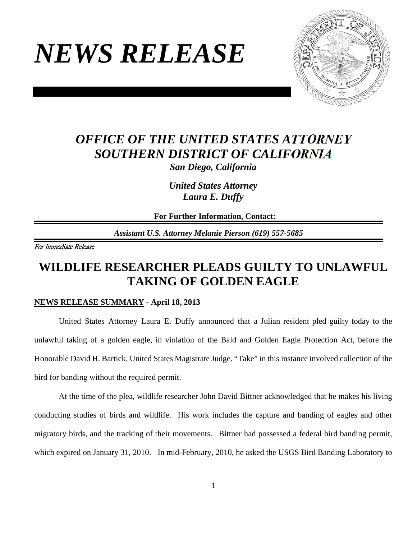# *NEWS RELEASE*



## *OFFICE OF THE UNITED STATES ATTORNEY SOUTHERN DISTRICT OF CALIFORNIA San Diego, California*

*United States Attorney Laura E. Duffy* 

**For Further Information, Contact:**

*Assistant U.S. Attorney Melanie Pierson (619) 557-5685*

For Immediate Release

## **WILDLIFE RESEARCHER PLEADS GUILTY TO UNLAWFUL TAKING OF GOLDEN EAGLE**

#### **NEWS RELEASE SUMMARY - April 18, 2013**

United States Attorney Laura E. Duffy announced that a Julian resident pled guilty today to the unlawful taking of a golden eagle, in violation of the Bald and Golden Eagle Protection Act, before the Honorable David H. Bartick, United States Magistrate Judge. "Take" in this instance involved collection of the bird for banding without the required permit.

At the time of the plea, wildlife researcher John David Bittner acknowledged that he makes his living conducting studies of birds and wildlife. His work includes the capture and banding of eagles and other migratory birds, and the tracking of their movements. Bittner had possessed a federal bird banding permit, which expired on January 31, 2010. In mid-February, 2010, he asked the USGS Bird Banding Laboratory to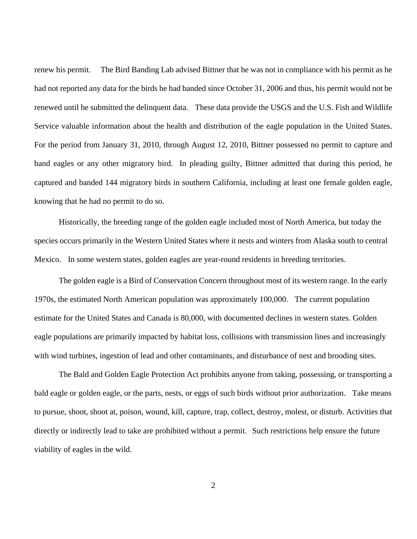renew his permit. The Bird Banding Lab advised Bittner that he was not in compliance with his permit as he had not reported any data for the birds he had banded since October 31, 2006 and thus, his permit would not be renewed until he submitted the delinquent data. These data provide the USGS and the U.S. Fish and Wildlife Service valuable information about the health and distribution of the eagle population in the United States. For the period from January 31, 2010, through August 12, 2010, Bittner possessed no permit to capture and band eagles or any other migratory bird. In pleading guilty, Bittner admitted that during this period, he captured and banded 144 migratory birds in southern California, including at least one female golden eagle, knowing that he had no permit to do so.

Historically, the breeding range of the golden eagle included most of North America, but today the species occurs primarily in the Western United States where it nests and winters from Alaska south to central Mexico. In some western states, golden eagles are year-round residents in breeding territories.

The golden eagle is a Bird of Conservation Concern throughout most of its western range. In the early 1970s, the estimated North American population was approximately 100,000. The current population estimate for the United States and Canada is 80,000, with documented declines in western states. Golden eagle populations are primarily impacted by habitat loss, collisions with transmission lines and increasingly with wind turbines, ingestion of lead and other contaminants, and disturbance of nest and brooding sites.

The Bald and Golden Eagle Protection Act prohibits anyone from taking, possessing, or transporting a bald eagle or golden eagle, or the parts, nests, or eggs of such birds without prior authorization. Take means to pursue, shoot, shoot at, poison, wound, kill, capture, trap, collect, destroy, molest, or disturb. Activities that directly or indirectly lead to take are prohibited without a permit. Such restrictions help ensure the future viability of eagles in the wild.

2